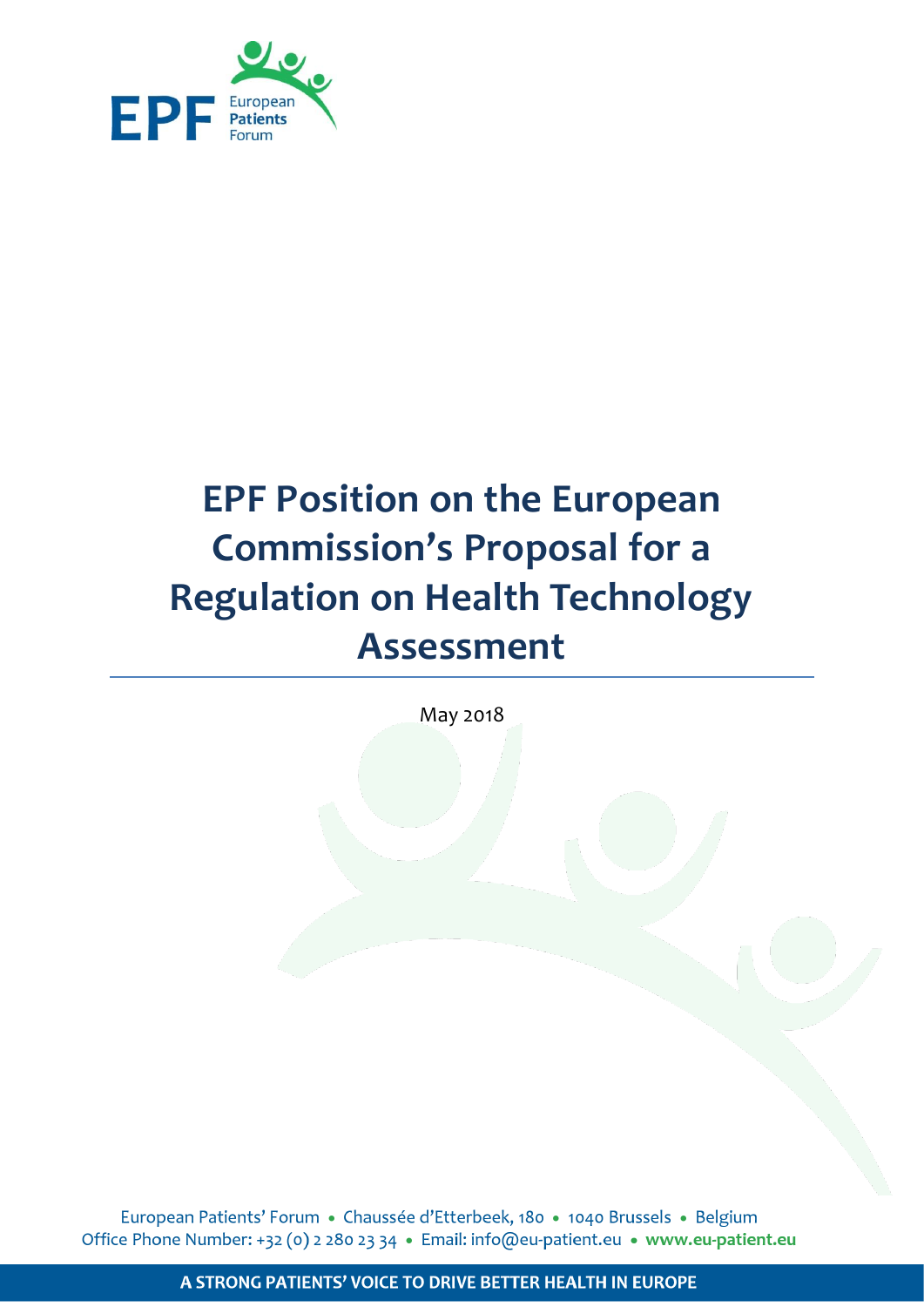

# **EPF Position on the European Commission's Proposal for a Regulation on Health Technology Assessment**

May 2018

European Patients' Forum · Chaussée d'Etterbeek, 180 · 1040 Brussels · Belgium Office Phone Number: +32 (0) 2 280 23 34 • Email: info@eu-patient.eu • www.eu-patient.eu

A STRONG PATIENTS' VOICE TO DRIVE BETTER HEALTH IN EUROPE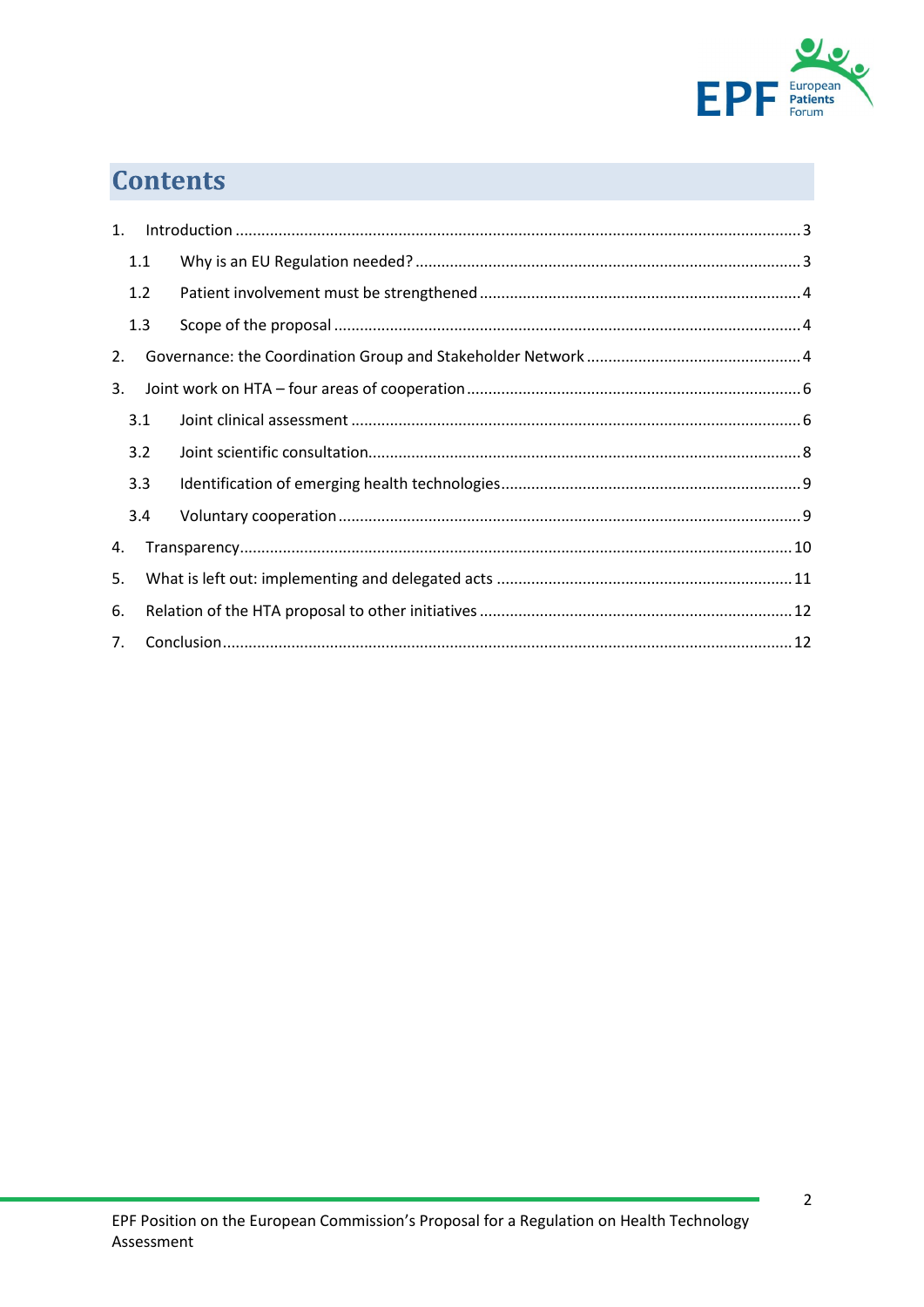

## **Contents**

| 1.             |     |  |  |
|----------------|-----|--|--|
|                | 1.1 |  |  |
|                | 1.2 |  |  |
|                | 1.3 |  |  |
| 2.             |     |  |  |
| 3.             |     |  |  |
|                | 3.1 |  |  |
|                | 3.2 |  |  |
|                | 3.3 |  |  |
|                | 3.4 |  |  |
| 4.             |     |  |  |
| 5.             |     |  |  |
| 6.             |     |  |  |
| 7 <sub>1</sub> |     |  |  |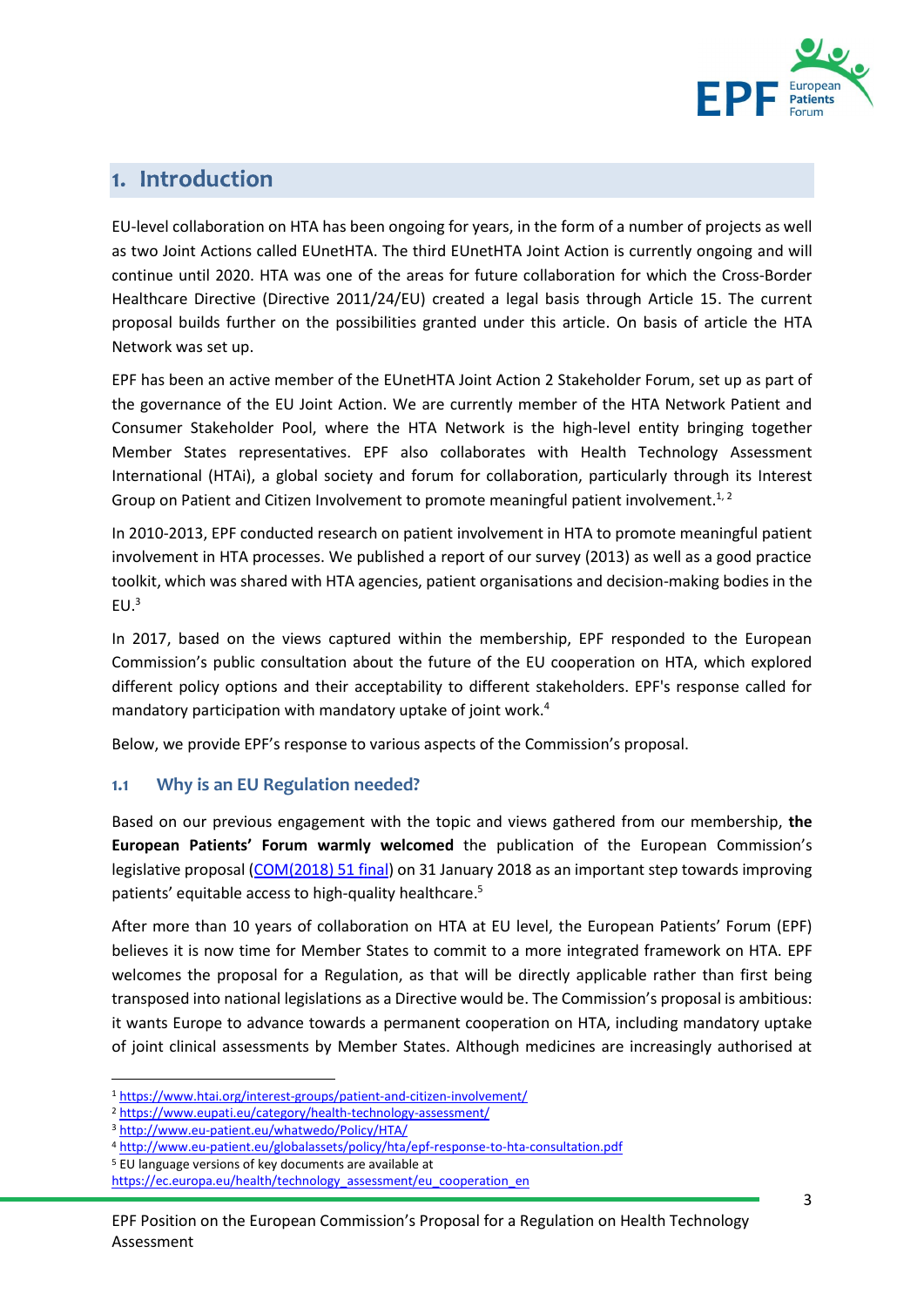

## <span id="page-2-0"></span>1. Introduction

EU-level collaboration on HTA has been ongoing for years, in the form of a number of projects as well as two Joint Actions called EUnetHTA. The third EUnetHTA Joint Action is currently ongoing and will continue until 2020. HTA was one of the areas for future collaboration for which the Cross-Border Healthcare Directive (Directive 2011/24/EU) created a legal basis through Article 15. The current proposal builds further on the possibilities granted under this article. On basis of article the HTA Network was set up.

EPF has been an active member of the EUnetHTA Joint Action 2 Stakeholder Forum, set up as part of the governance of the EU Joint Action. We are currently member of the HTA Network Patient and Consumer Stakeholder Pool, where the HTA Network is the high-level entity bringing together Member States representatives. EPF also collaborates with Health Technology Assessment International (HTAi), a global society and forum for collaboration, particularly through its Interest Group on Patient and Citizen Involvement to promote meaningful patient involvement.<sup>1, 2</sup>

In 2010-2013, EPF conducted research on patient involvement in HTA to promote meaningful patient involvement in HTA processes. We published a report of our survey (2013) as well as a good practice toolkit, which was shared with HTA agencies, patient organisations and decision-making bodies in the  $EU<sup>3</sup>$ 

In 2017, based on the views captured within the membership, EPF responded to the European Commission's public consultation about the future of the EU cooperation on HTA, which explored different policy options and their acceptability to different stakeholders. EPF's response called for mandatory participation with mandatory uptake of joint work.<sup>4</sup>

Below, we provide EPF's response to various aspects of the Commission's proposal.

#### <span id="page-2-1"></span>**1.1 Why is an EU Regulation needed?**

Based on our previous engagement with the topic and views gathered from our membership, **the European Patients' Forum warmly welcomed** the publication of the European Commission's legislative proposal [\(COM\(2018\) 51 final\)](https://ec.europa.eu/health/sites/health/files/technology_assessment/docs/com2018_51final_en.pdf) on 31 January 2018 as an important step towards improving patients' equitable access to high-quality healthcare. 5

After more than 10 years of collaboration on HTA at EU level, the European Patients' Forum (EPF) believes it is now time for Member States to commit to a more integrated framework on HTA. EPF welcomes the proposal for a Regulation, as that will be directly applicable rather than first being transposed into national legislations as a Directive would be. The Commission's proposal is ambitious: it wants Europe to advance towards a permanent cooperation on HTA, including mandatory uptake of joint clinical assessments by Member States. Although medicines are increasingly authorised at

**.** 

<sup>1</sup> <https://www.htai.org/interest-groups/patient-and-citizen-involvement/>

<sup>2</sup> <https://www.eupati.eu/category/health-technology-assessment/>

<sup>3</sup> <http://www.eu-patient.eu/whatwedo/Policy/HTA/>

<sup>4</sup> <http://www.eu-patient.eu/globalassets/policy/hta/epf-response-to-hta-consultation.pdf>

<sup>5</sup> EU language versions of key documents are available at

[https://ec.europa.eu/health/technology\\_assessment/eu\\_cooperation\\_en](https://ec.europa.eu/health/technology_assessment/eu_cooperation_en)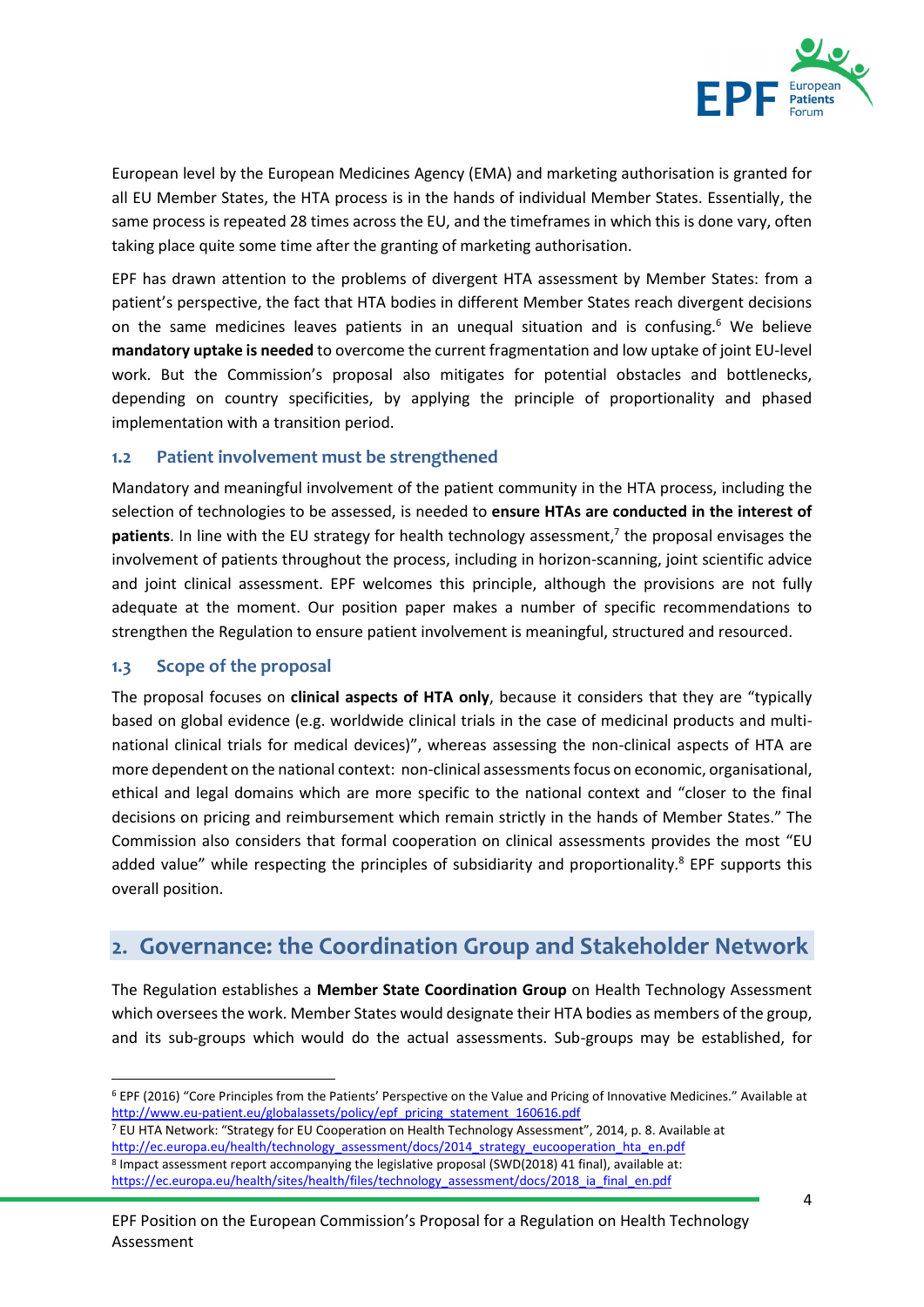

European level by the European Medicines Agency (EMA) and marketing authorisation is granted for all EU Member States, the HTA process is in the hands of individual Member States. Essentially, the same process is repeated 28 times across the EU, and the timeframes in which this is done vary, often taking place quite some time after the granting of marketing authorisation.

EPF has drawn attention to the problems of divergent HTA assessment by Member States: from a patient's perspective, the fact that HTA bodies in different Member States reach divergent decisions on the same medicines leaves patients in an unequal situation and is confusing.<sup>6</sup> We believe **mandatory uptake is needed** to overcome the current fragmentation and low uptake of joint EU-level work. But the Commission's proposal also mitigates for potential obstacles and bottlenecks, depending on country specificities, by applying the principle of proportionality and phased implementation with a transition period.

#### <span id="page-3-0"></span>**1.2 Patient involvement must be strengthened**

Mandatory and meaningful involvement of the patient community in the HTA process, including the selection of technologies to be assessed, is needed to **ensure HTAs are conducted in the interest of patients**. In line with the EU strategy for health technology assessment, 7 the proposal envisages the involvement of patients throughout the process, including in horizon-scanning, joint scientific advice and joint clinical assessment. EPF welcomes this principle, although the provisions are not fully adequate at the moment. Our position paper makes a number of specific recommendations to strengthen the Regulation to ensure patient involvement is meaningful, structured and resourced.

#### <span id="page-3-1"></span>**1.3 Scope of the proposal**

**.** 

The proposal focuses on **clinical aspects of HTA only**, because it considers that they are "typically based on global evidence (e.g. worldwide clinical trials in the case of medicinal products and multinational clinical trials for medical devices)", whereas assessing the non-clinical aspects of HTA are more dependent on the national context: non-clinical assessments focus on economic, organisational, ethical and legal domains which are more specific to the national context and "closer to the final decisions on pricing and reimbursement which remain strictly in the hands of Member States." The Commission also considers that formal cooperation on clinical assessments provides the most "EU added value" while respecting the principles of subsidiarity and proportionality.<sup>8</sup> EPF supports this overall position.

## <span id="page-3-2"></span>2. Governance: the Coordination Group and Stakeholder Network

The Regulation establishes a **Member State Coordination Group** on Health Technology Assessment which oversees the work. Member States would designate their HTA bodies as members of the group, and its sub-groups which would do the actual assessments. Sub-groups may be established, for

<sup>7</sup> EU HTA Network: "Strategy for EU Cooperation on Health Technology Assessment", 2014, p. 8. Available at [http://ec.europa.eu/health/technology\\_assessment/docs/2014\\_strategy\\_eucooperation\\_hta\\_en.pdf](http://ec.europa.eu/health/technology_assessment/docs/2014_strategy_eucooperation_hta_en.pdf) <sup>8</sup> Impact assessment report accompanying the legislative proposal (SWD(2018) 41 final), available at: [https://ec.europa.eu/health/sites/health/files/technology\\_assessment/docs/2018\\_ia\\_final\\_en.pdf](https://ec.europa.eu/health/sites/health/files/technology_assessment/docs/2018_ia_final_en.pdf)

<sup>6</sup> EPF (2016) "Core Principles from the Patients' Perspective on the Value and Pricing of Innovative Medicines." Available at [http://www.eu-patient.eu/globalassets/policy/epf\\_pricing\\_statement\\_160616.pdf](http://www.eu-patient.eu/globalassets/policy/epf_pricing_statement_160616.pdf)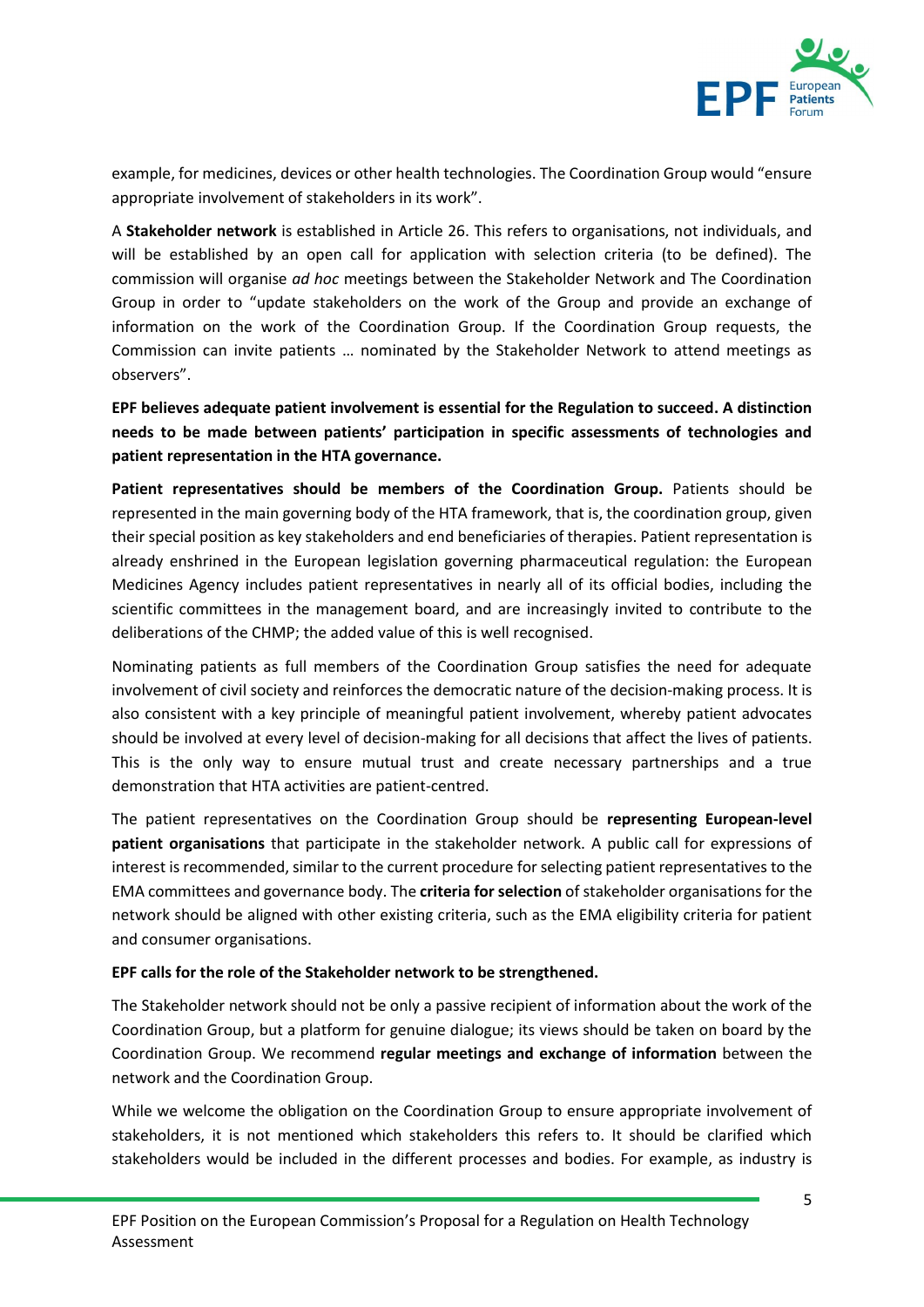

example, for medicines, devices or other health technologies. The Coordination Group would "ensure appropriate involvement of stakeholders in its work".

A **Stakeholder network** is established in Article 26. This refers to organisations, not individuals, and will be established by an open call for application with selection criteria (to be defined). The commission will organise *ad hoc* meetings between the Stakeholder Network and The Coordination Group in order to "update stakeholders on the work of the Group and provide an exchange of information on the work of the Coordination Group. If the Coordination Group requests, the Commission can invite patients … nominated by the Stakeholder Network to attend meetings as observers".

**EPF believes adequate patient involvement is essential for the Regulation to succeed. A distinction needs to be made between patients' participation in specific assessments of technologies and patient representation in the HTA governance.** 

**Patient representatives should be members of the Coordination Group.** Patients should be represented in the main governing body of the HTA framework, that is, the coordination group, given their special position as key stakeholders and end beneficiaries of therapies. Patient representation is already enshrined in the European legislation governing pharmaceutical regulation: the European Medicines Agency includes patient representatives in nearly all of its official bodies, including the scientific committees in the management board, and are increasingly invited to contribute to the deliberations of the CHMP; the added value of this is well recognised.

Nominating patients as full members of the Coordination Group satisfies the need for adequate involvement of civil society and reinforces the democratic nature of the decision-making process. It is also consistent with a key principle of meaningful patient involvement, whereby patient advocates should be involved at every level of decision-making for all decisions that affect the lives of patients. This is the only way to ensure mutual trust and create necessary partnerships and a true demonstration that HTA activities are patient-centred.

The patient representatives on the Coordination Group should be **representing European-level patient organisations** that participate in the stakeholder network. A public call for expressions of interest is recommended, similar to the current procedure for selecting patient representatives to the EMA committees and governance body. The **criteria for selection** of stakeholder organisations for the network should be aligned with other existing criteria, such as the EMA eligibility criteria for patient and consumer organisations.

#### **EPF calls for the role of the Stakeholder network to be strengthened.**

The Stakeholder network should not be only a passive recipient of information about the work of the Coordination Group, but a platform for genuine dialogue; its views should be taken on board by the Coordination Group. We recommend **regular meetings and exchange of information** between the network and the Coordination Group.

While we welcome the obligation on the Coordination Group to ensure appropriate involvement of stakeholders, it is not mentioned which stakeholders this refers to. It should be clarified which stakeholders would be included in the different processes and bodies. For example, as industry is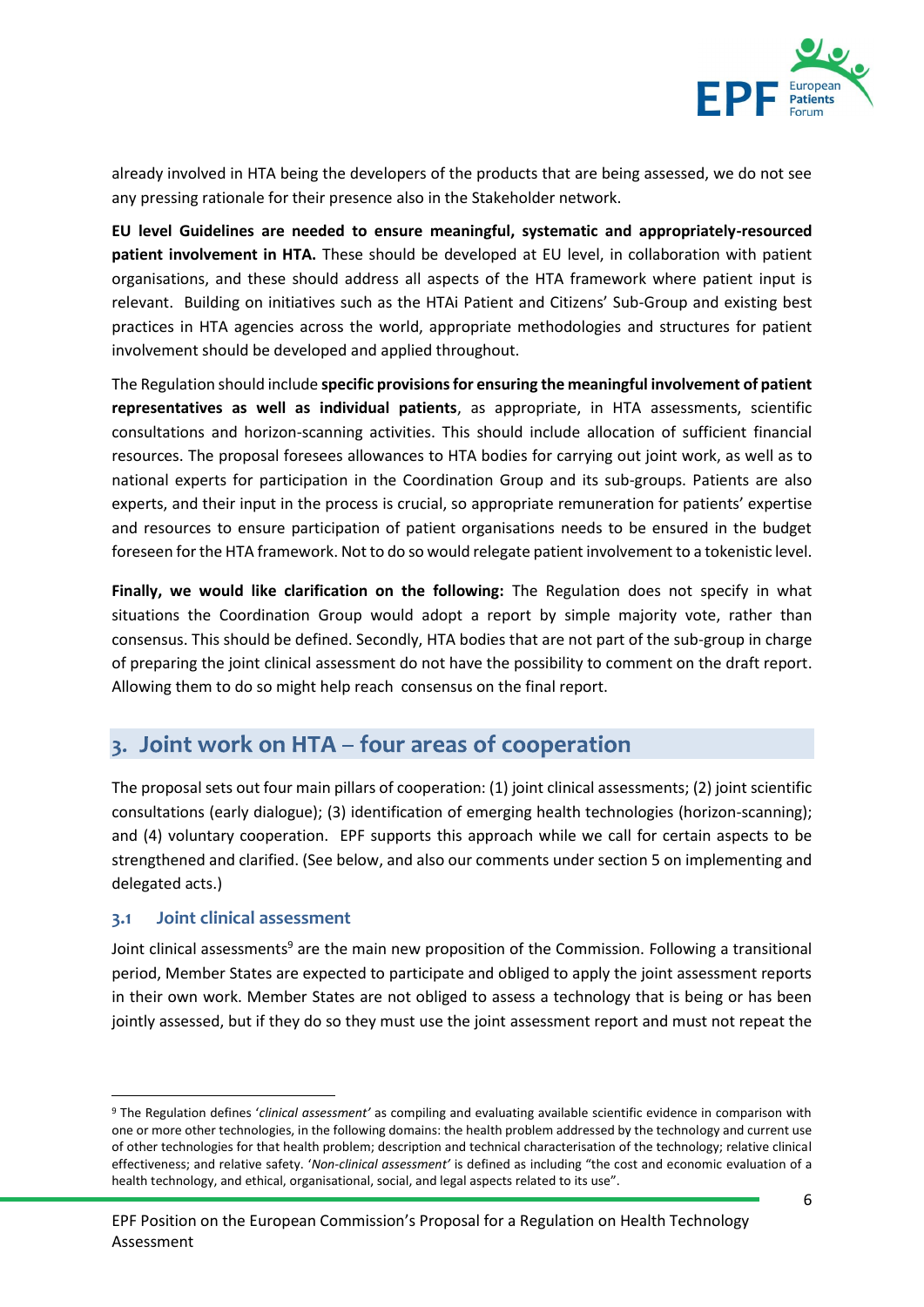

already involved in HTA being the developers of the products that are being assessed, we do not see any pressing rationale for their presence also in the Stakeholder network.

**EU level Guidelines are needed to ensure meaningful, systematic and appropriately-resourced patient involvement in HTA.** These should be developed at EU level, in collaboration with patient organisations, and these should address all aspects of the HTA framework where patient input is relevant. Building on initiatives such as the HTAi Patient and Citizens' Sub-Group and existing best practices in HTA agencies across the world, appropriate methodologies and structures for patient involvement should be developed and applied throughout.

The Regulation should include **specific provisions for ensuring the meaningful involvement of patient representatives as well as individual patients**, as appropriate, in HTA assessments, scientific consultations and horizon-scanning activities. This should include allocation of sufficient financial resources. The proposal foresees allowances to HTA bodies for carrying out joint work, as well as to national experts for participation in the Coordination Group and its sub-groups. Patients are also experts, and their input in the process is crucial, so appropriate remuneration for patients' expertise and resources to ensure participation of patient organisations needs to be ensured in the budget foreseen forthe HTA framework. Not to do so would relegate patient involvement to a tokenistic level.

**Finally, we would like clarification on the following:** The Regulation does not specify in what situations the Coordination Group would adopt a report by simple majority vote, rather than consensus. This should be defined. Secondly, HTA bodies that are not part of the sub-group in charge of preparing the joint clinical assessment do not have the possibility to comment on the draft report. Allowing them to do so might help reach consensus on the final report.

### <span id="page-5-0"></span>3. Joint work on HTA - four areas of cooperation

The proposal sets out four main pillars of cooperation: (1) joint clinical assessments; (2) joint scientific consultations (early dialogue); (3) identification of emerging health technologies (horizon-scanning); and (4) voluntary cooperation. EPF supports this approach while we call for certain aspects to be strengthened and clarified. (See below, and also our comments under section 5 on implementing and delegated acts.)

#### <span id="page-5-1"></span>**3.1 Joint clinical assessment**

1

Joint clinical assessments<sup>9</sup> are the main new proposition of the Commission. Following a transitional period, Member States are expected to participate and obliged to apply the joint assessment reports in their own work. Member States are not obliged to assess a technology that is being or has been jointly assessed, but if they do so they must use the joint assessment report and must not repeat the

<sup>9</sup> The Regulation defines '*clinical assessment'* as compiling and evaluating available scientific evidence in comparison with one or more other technologies, in the following domains: the health problem addressed by the technology and current use of other technologies for that health problem; description and technical characterisation of the technology; relative clinical effectiveness; and relative safety. '*Non-clinical assessment'* is defined as including "the cost and economic evaluation of a health technology, and ethical, organisational, social, and legal aspects related to its use".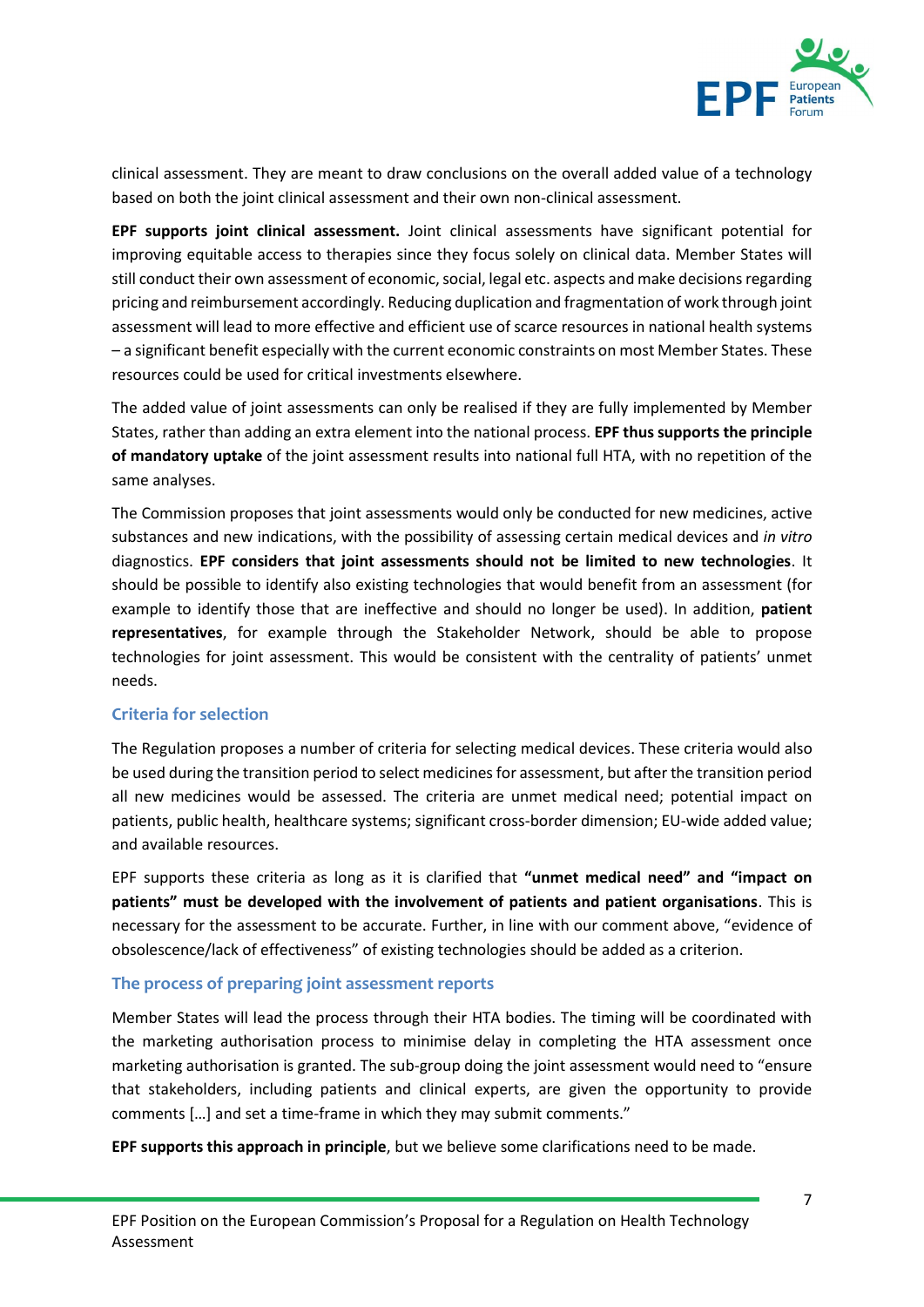

clinical assessment. They are meant to draw conclusions on the overall added value of a technology based on both the joint clinical assessment and their own non-clinical assessment.

**EPF supports joint clinical assessment.** Joint clinical assessments have significant potential for improving equitable access to therapies since they focus solely on clinical data. Member States will still conduct their own assessment of economic, social, legal etc. aspects and make decisions regarding pricing and reimbursement accordingly. Reducing duplication and fragmentation of work through joint assessment will lead to more effective and efficient use of scarce resources in national health systems – a significant benefit especially with the current economic constraints on most Member States. These resources could be used for critical investments elsewhere.

The added value of joint assessments can only be realised if they are fully implemented by Member States, rather than adding an extra element into the national process. **EPF thus supports the principle of mandatory uptake** of the joint assessment results into national full HTA, with no repetition of the same analyses.

The Commission proposes that joint assessments would only be conducted for new medicines, active substances and new indications, with the possibility of assessing certain medical devices and *in vitro* diagnostics. **EPF considers that joint assessments should not be limited to new technologies**. It should be possible to identify also existing technologies that would benefit from an assessment (for example to identify those that are ineffective and should no longer be used). In addition, **patient representatives**, for example through the Stakeholder Network, should be able to propose technologies for joint assessment. This would be consistent with the centrality of patients' unmet needs.

#### **Criteria for selection**

The Regulation proposes a number of criteria for selecting medical devices. These criteria would also be used during the transition period to select medicines for assessment, but after the transition period all new medicines would be assessed. The criteria are unmet medical need; potential impact on patients, public health, healthcare systems; significant cross-border dimension; EU-wide added value; and available resources.

EPF supports these criteria as long as it is clarified that **"unmet medical need" and "impact on patients" must be developed with the involvement of patients and patient organisations**. This is necessary for the assessment to be accurate. Further, in line with our comment above, "evidence of obsolescence/lack of effectiveness" of existing technologies should be added as a criterion.

#### **The process of preparing joint assessment reports**

Member States will lead the process through their HTA bodies. The timing will be coordinated with the marketing authorisation process to minimise delay in completing the HTA assessment once marketing authorisation is granted. The sub-group doing the joint assessment would need to "ensure that stakeholders, including patients and clinical experts, are given the opportunity to provide comments […] and set a time-frame in which they may submit comments."

**EPF supports this approach in principle**, but we believe some clarifications need to be made.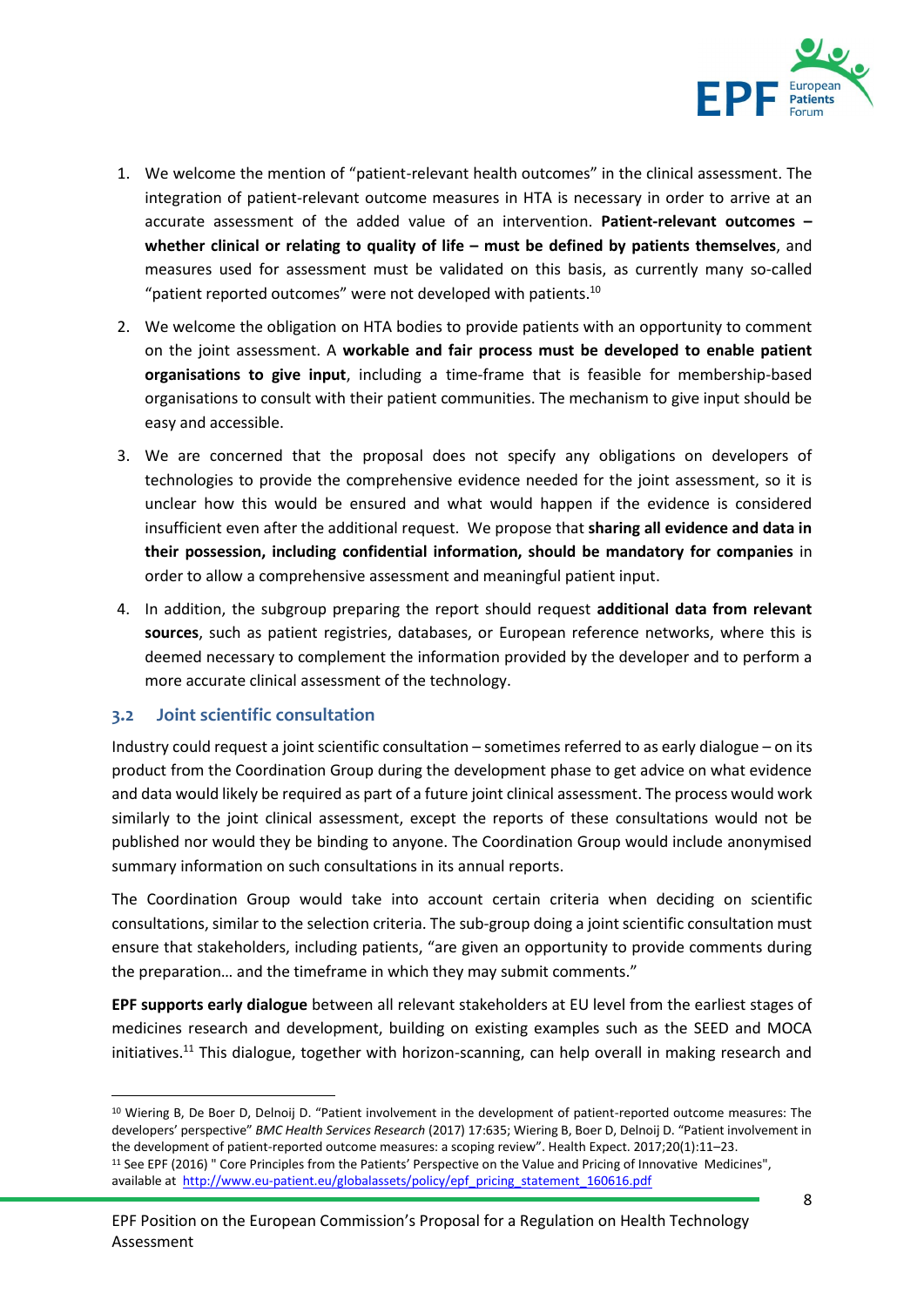

- 1. We welcome the mention of "patient-relevant health outcomes" in the clinical assessment. The integration of patient-relevant outcome measures in HTA is necessary in order to arrive at an accurate assessment of the added value of an intervention. **Patient-relevant outcomes – whether clinical or relating to quality of life – must be defined by patients themselves, and** measures used for assessment must be validated on this basis, as currently many so-called "patient reported outcomes" were not developed with patients. $10$
- 2. We welcome the obligation on HTA bodies to provide patients with an opportunity to comment on the joint assessment. A **workable and fair process must be developed to enable patient organisations to give input**, including a time-frame that is feasible for membership-based organisations to consult with their patient communities. The mechanism to give input should be easy and accessible.
- 3. We are concerned that the proposal does not specify any obligations on developers of technologies to provide the comprehensive evidence needed for the joint assessment, so it is unclear how this would be ensured and what would happen if the evidence is considered insufficient even after the additional request. We propose that **sharing all evidence and data in their possession, including confidential information, should be mandatory for companies** in order to allow a comprehensive assessment and meaningful patient input.
- 4. In addition, the subgroup preparing the report should request **additional data from relevant sources**, such as patient registries, databases, or European reference networks, where this is deemed necessary to complement the information provided by the developer and to perform a more accurate clinical assessment of the technology.

#### <span id="page-7-0"></span>**3.2 Joint scientific consultation**

1

Industry could request a joint scientific consultation – sometimes referred to as early dialogue – on its product from the Coordination Group during the development phase to get advice on what evidence and data would likely be required as part of a future joint clinical assessment. The process would work similarly to the joint clinical assessment, except the reports of these consultations would not be published nor would they be binding to anyone. The Coordination Group would include anonymised summary information on such consultations in its annual reports.

The Coordination Group would take into account certain criteria when deciding on scientific consultations, similar to the selection criteria. The sub-group doing a joint scientific consultation must ensure that stakeholders, including patients, "are given an opportunity to provide comments during the preparation… and the timeframe in which they may submit comments."

**EPF supports early dialogue** between all relevant stakeholders at EU level from the earliest stages of medicines research and development, building on existing examples such as the SEED and MOCA initiatives.<sup>11</sup> This dialogue, together with horizon-scanning, can help overall in making research and

<sup>10</sup> Wiering B, De Boer D, Delnoij D. "Patient involvement in the development of patient-reported outcome measures: The developers' perspective" *BMC Health Services Research* (2017) 17:635; Wiering B, Boer D, Delnoij D. "Patient involvement in the development of patient-reported outcome measures: a scoping review". Health Expect. 2017;20(1):11–23. <sup>11</sup> See EPF (2016) " Core Principles from the Patients' Perspective on the Value and Pricing of Innovative Medicines", available at [http://www.eu-patient.eu/globalassets/policy/epf\\_pricing\\_statement\\_160616.pdf](http://www.eu-patient.eu/globalassets/policy/epf_pricing_statement_160616.pdf)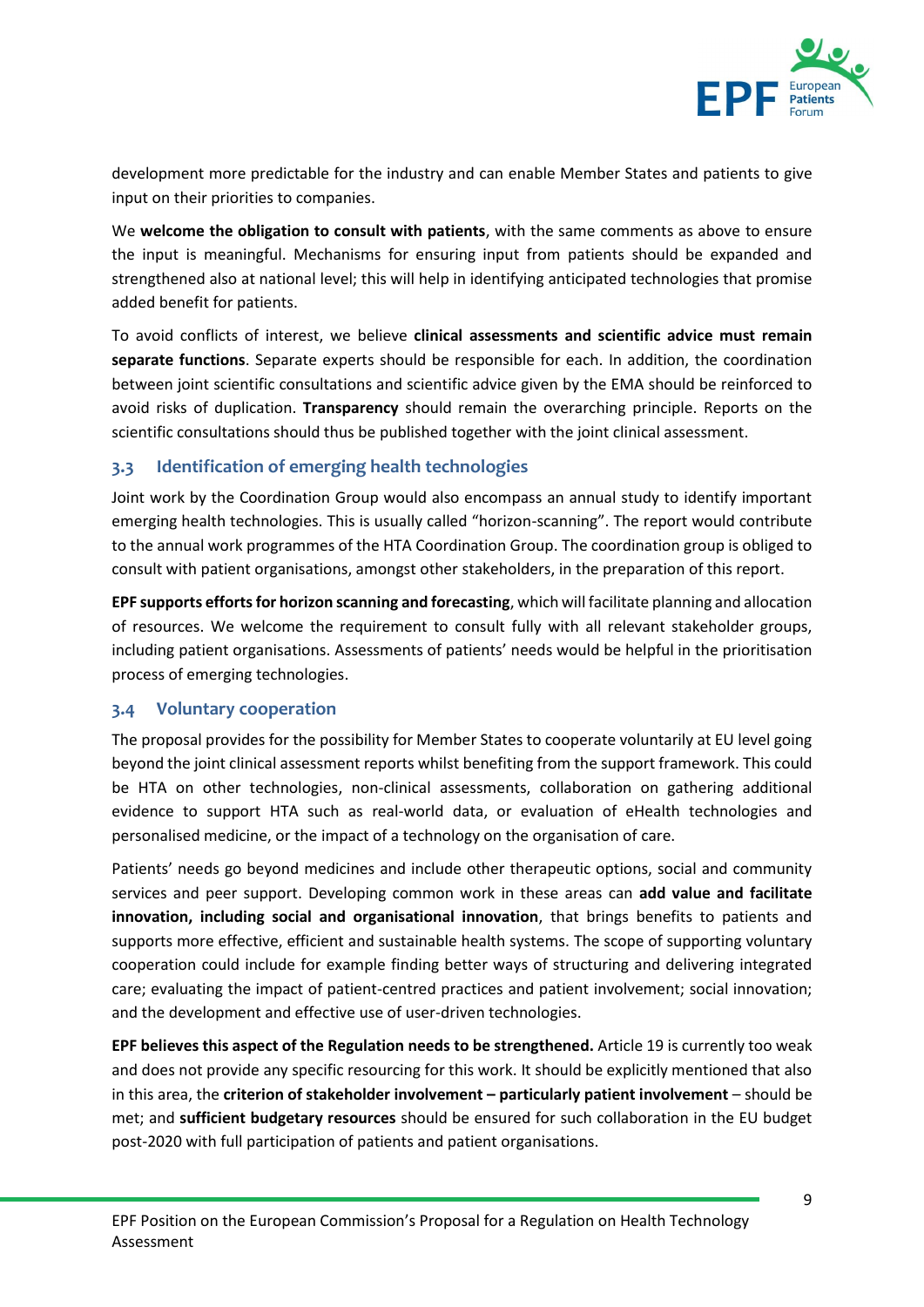

development more predictable for the industry and can enable Member States and patients to give input on their priorities to companies.

We **welcome the obligation to consult with patients**, with the same comments as above to ensure the input is meaningful. Mechanisms for ensuring input from patients should be expanded and strengthened also at national level; this will help in identifying anticipated technologies that promise added benefit for patients.

To avoid conflicts of interest, we believe **clinical assessments and scientific advice must remain separate functions**. Separate experts should be responsible for each. In addition, the coordination between joint scientific consultations and scientific advice given by the EMA should be reinforced to avoid risks of duplication. **Transparency** should remain the overarching principle. Reports on the scientific consultations should thus be published together with the joint clinical assessment.

#### <span id="page-8-0"></span>**3.3 Identification of emerging health technologies**

Joint work by the Coordination Group would also encompass an annual study to identify important emerging health technologies. This is usually called "horizon-scanning". The report would contribute to the annual work programmes of the HTA Coordination Group. The coordination group is obliged to consult with patient organisations, amongst other stakeholders, in the preparation of this report.

**EPF supports efforts for horizon scanning and forecasting**, which will facilitate planning and allocation of resources. We welcome the requirement to consult fully with all relevant stakeholder groups, including patient organisations. Assessments of patients' needs would be helpful in the prioritisation process of emerging technologies.

#### <span id="page-8-1"></span>**3.4 Voluntary cooperation**

The proposal provides for the possibility for Member States to cooperate voluntarily at EU level going beyond the joint clinical assessment reports whilst benefiting from the support framework. This could be HTA on other technologies, non-clinical assessments, collaboration on gathering additional evidence to support HTA such as real-world data, or evaluation of eHealth technologies and personalised medicine, or the impact of a technology on the organisation of care.

Patients' needs go beyond medicines and include other therapeutic options, social and community services and peer support. Developing common work in these areas can **add value and facilitate innovation, including social and organisational innovation**, that brings benefits to patients and supports more effective, efficient and sustainable health systems. The scope of supporting voluntary cooperation could include for example finding better ways of structuring and delivering integrated care; evaluating the impact of patient-centred practices and patient involvement; social innovation; and the development and effective use of user-driven technologies.

**EPF believes this aspect of the Regulation needs to be strengthened.** Article 19 is currently too weak and does not provide any specific resourcing for this work. It should be explicitly mentioned that also in this area, the **criterion of stakeholder involvement – particularly patient involvement** – should be met; and **sufficient budgetary resources** should be ensured for such collaboration in the EU budget post-2020 with full participation of patients and patient organisations.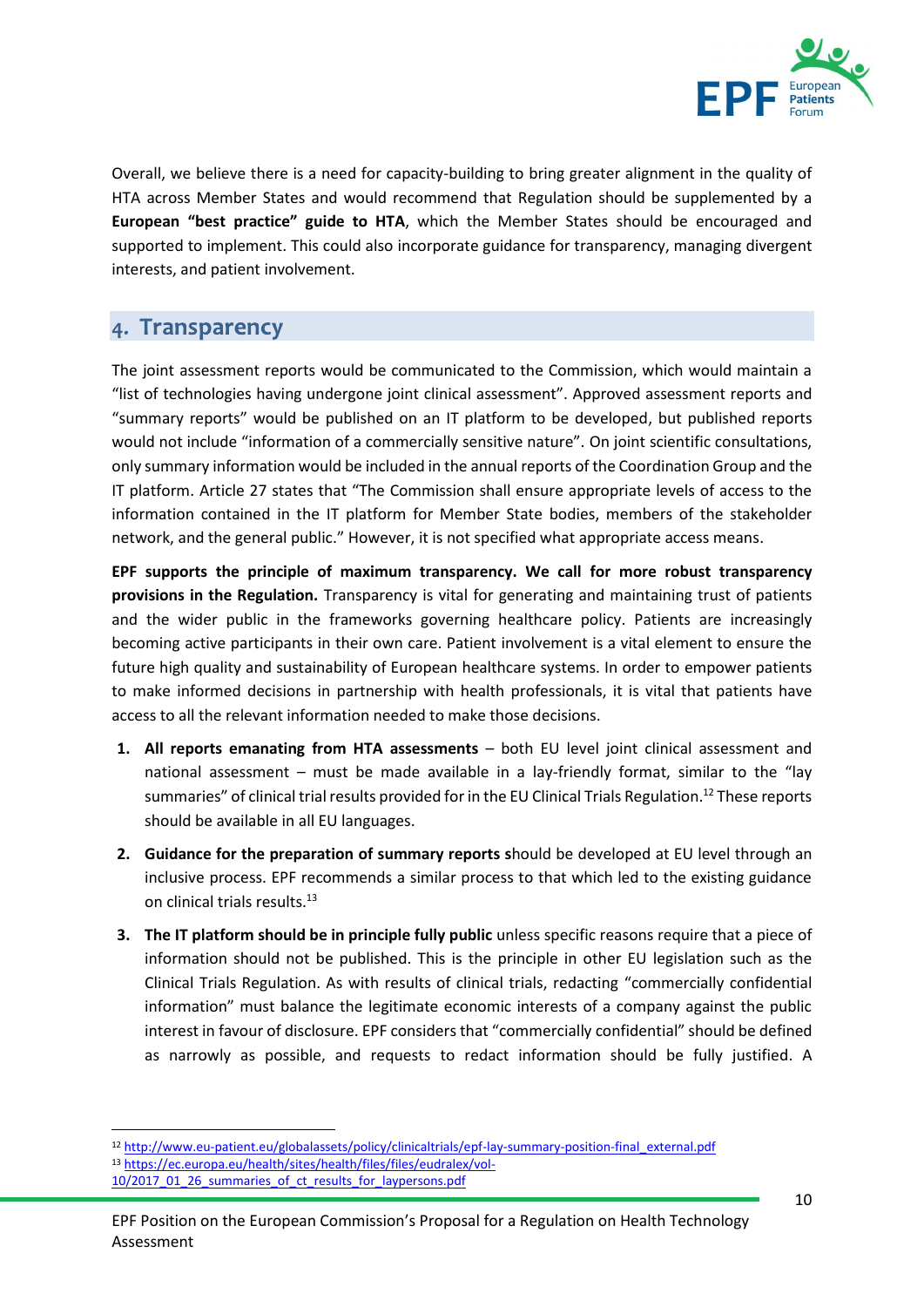

Overall, we believe there is a need for capacity-building to bring greater alignment in the quality of HTA across Member States and would recommend that Regulation should be supplemented by a **European "best practice" guide to HTA**, which the Member States should be encouraged and supported to implement. This could also incorporate guidance for transparency, managing divergent interests, and patient involvement.

## <span id="page-9-0"></span>4. Transparency

The joint assessment reports would be communicated to the Commission, which would maintain a "list of technologies having undergone joint clinical assessment". Approved assessment reports and "summary reports" would be published on an IT platform to be developed, but published reports would not include "information of a commercially sensitive nature". On joint scientific consultations, only summary information would be included in the annual reports of the Coordination Group and the IT platform. Article 27 states that "The Commission shall ensure appropriate levels of access to the information contained in the IT platform for Member State bodies, members of the stakeholder network, and the general public." However, it is not specified what appropriate access means.

**EPF supports the principle of maximum transparency. We call for more robust transparency provisions in the Regulation.** Transparency is vital for generating and maintaining trust of patients and the wider public in the frameworks governing healthcare policy. Patients are increasingly becoming active participants in their own care. Patient involvement is a vital element to ensure the future high quality and sustainability of European healthcare systems. In order to empower patients to make informed decisions in partnership with health professionals, it is vital that patients have access to all the relevant information needed to make those decisions.

- **1. All reports emanating from HTA assessments** both EU level joint clinical assessment and national assessment – must be made available in a lay-friendly format, similar to the "lay summaries" of clinical trial results provided for in the EU Clinical Trials Regulation.<sup>12</sup> These reports should be available in all EU languages.
- **2. Guidance for the preparation of summary reports s**hould be developed at EU level through an inclusive process. EPF recommends a similar process to that which led to the existing guidance on clinical trials results.<sup>13</sup>
- **3. The IT platform should be in principle fully public** unless specific reasons require that a piece of information should not be published. This is the principle in other EU legislation such as the Clinical Trials Regulation. As with results of clinical trials, redacting "commercially confidential information" must balance the legitimate economic interests of a company against the public interest in favour of disclosure. EPF considers that "commercially confidential" should be defined as narrowly as possible, and requests to redact information should be fully justified. A

**.** 

<sup>12</sup> [http://www.eu-patient.eu/globalassets/policy/clinicaltrials/epf-lay-summary-position-final\\_external.pdf](http://www.eu-patient.eu/globalassets/policy/clinicaltrials/epf-lay-summary-position-final_external.pdf) <sup>13</sup> [https://ec.europa.eu/health/sites/health/files/files/eudralex/vol-](https://ec.europa.eu/health/sites/health/files/files/eudralex/vol-10/2017_01_26_summaries_of_ct_results_for_laypersons.pdf)

[<sup>10/2017</sup>\\_01\\_26\\_summaries\\_of\\_ct\\_results\\_for\\_laypersons.pdf](https://ec.europa.eu/health/sites/health/files/files/eudralex/vol-10/2017_01_26_summaries_of_ct_results_for_laypersons.pdf)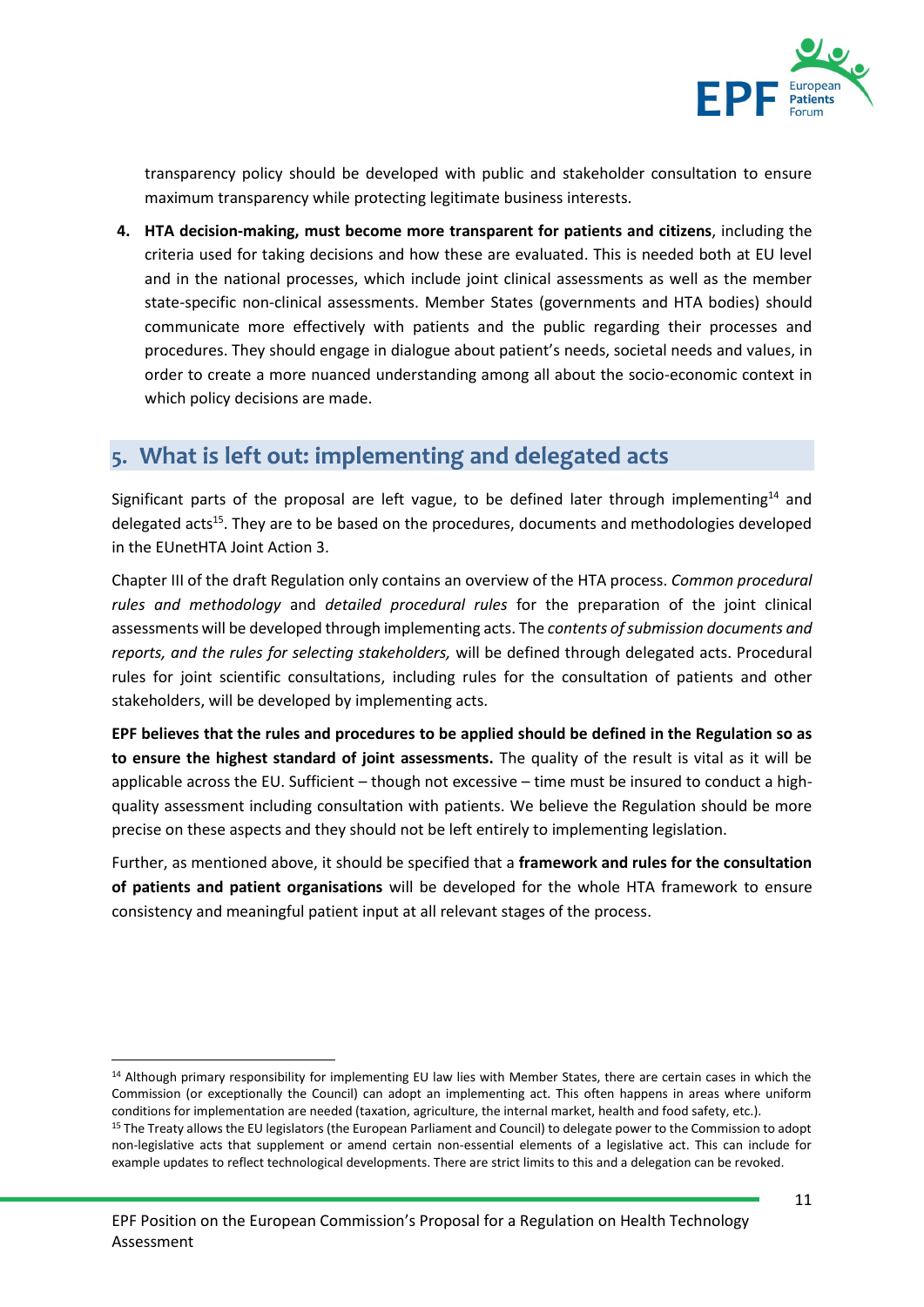

transparency policy should be developed with public and stakeholder consultation to ensure maximum transparency while protecting legitimate business interests.

**4. HTA decision-making, must become more transparent for patients and citizens**, including the criteria used for taking decisions and how these are evaluated. This is needed both at EU level and in the national processes, which include joint clinical assessments as well as the member state-specific non-clinical assessments. Member States (governments and HTA bodies) should communicate more effectively with patients and the public regarding their processes and procedures. They should engage in dialogue about patient's needs, societal needs and values, in order to create a more nuanced understanding among all about the socio-economic context in which policy decisions are made.

## <span id="page-10-0"></span>5. What is left out: implementing and delegated acts

Significant parts of the proposal are left vague, to be defined later through implementing<sup>14</sup> and delegated acts<sup>15</sup>. They are to be based on the procedures, documents and methodologies developed in the EUnetHTA Joint Action 3.

Chapter III of the draft Regulation only contains an overview of the HTA process. *Common procedural rules and methodology* and *detailed procedural rules* for the preparation of the joint clinical assessments will be developed through implementing acts. The *contents of submission documents and reports, and the rules for selecting stakeholders,* will be defined through delegated acts. Procedural rules for joint scientific consultations, including rules for the consultation of patients and other stakeholders, will be developed by implementing acts.

**EPF believes that the rules and procedures to be applied should be defined in the Regulation so as to ensure the highest standard of joint assessments.** The quality of the result is vital as it will be applicable across the EU. Sufficient – though not excessive – time must be insured to conduct a highquality assessment including consultation with patients. We believe the Regulation should be more precise on these aspects and they should not be left entirely to implementing legislation.

Further, as mentioned above, it should be specified that a **framework and rules for the consultation of patients and patient organisations** will be developed for the whole HTA framework to ensure consistency and meaningful patient input at all relevant stages of the process.

1

<sup>&</sup>lt;sup>14</sup> Although primary responsibility for implementing EU law lies with Member States, there are certain cases in which the Commission (or exceptionally the Council) can adopt an implementing act. This often happens in areas where uniform conditions for implementation are needed (taxation, agriculture, the internal market, health and food safety, etc.). <sup>15</sup> The Treaty allows the EU legislators (the European Parliament and Council) to delegate power to the Commission to adopt non-legislative acts that supplement or amend certain non-essential elements of a legislative act. This can include for example updates to reflect technological developments. There are strict limits to this and a delegation can be revoked.